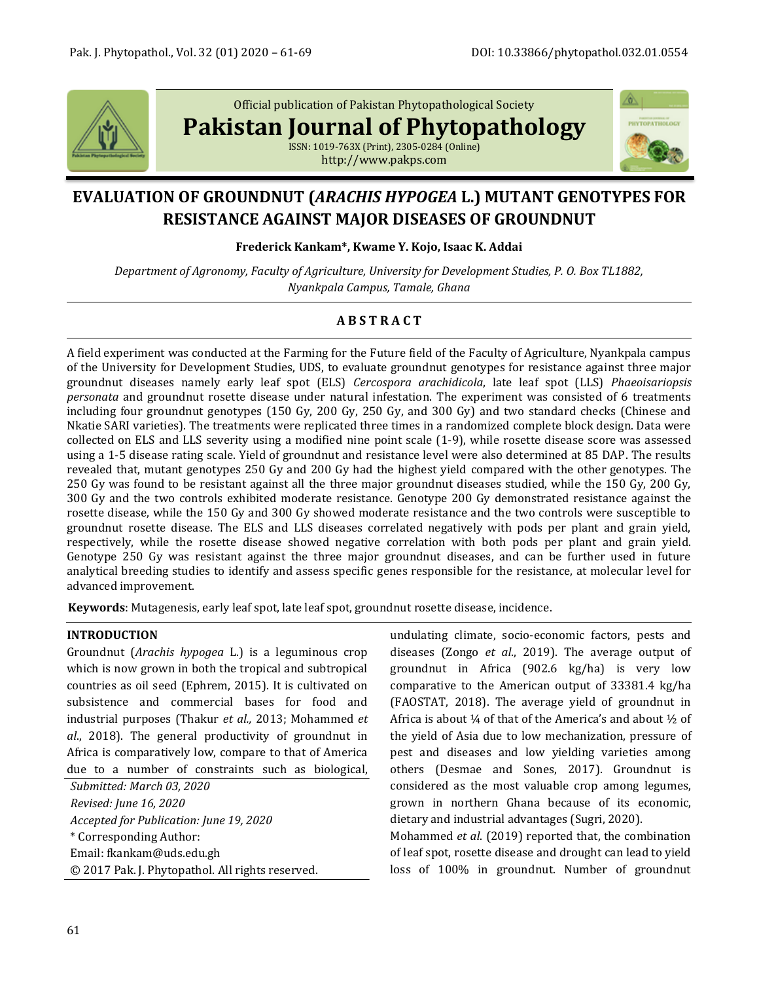

Official publication of Pakistan Phytopathological Society

**Pakistan Journal of Phytopathology**

ISSN: 1019-763X (Print), 2305-0284 (Online) http://www.pakps.com



# **EVALUATION OF GROUNDNUT (***ARACHIS HYPOGEA* **L.) MUTANT GENOTYPES FOR RESISTANCE AGAINST MAJOR DISEASES OF GROUNDNUT**

**Frederick Kankam\*, Kwame Y. Kojo, Isaac K. Addai**

*Department of Agronomy, Faculty of Agriculture, University for Development Studies, P. O. Box TL1882, Nyankpala Campus, Tamale, Ghana*

## **A B S T R A C T**

A field experiment was conducted at the Farming for the Future field of the Faculty of Agriculture, Nyankpala campus of the University for Development Studies, UDS, to evaluate groundnut genotypes for resistance against three major groundnut diseases namely early leaf spot (ELS) *Cercospora arachidicola*, late leaf spot (LLS) *Phaeoisariopsis personata* and groundnut rosette disease under natural infestation. The experiment was consisted of 6 treatments including four groundnut genotypes (150 Gy, 200 Gy, 250 Gy, and 300 Gy) and two standard checks (Chinese and Nkatie SARI varieties). The treatments were replicated three times in a randomized complete block design. Data were collected on ELS and LLS severity using a modified nine point scale (1-9), while rosette disease score was assessed using a 1-5 disease rating scale. Yield of groundnut and resistance level were also determined at 85 DAP. The results revealed that, mutant genotypes 250 Gy and 200 Gy had the highest yield compared with the other genotypes. The 250 Gy was found to be resistant against all the three major groundnut diseases studied, while the 150 Gy, 200 Gy, 300 Gy and the two controls exhibited moderate resistance. Genotype 200 Gy demonstrated resistance against the rosette disease, while the 150 Gy and 300 Gy showed moderate resistance and the two controls were susceptible to groundnut rosette disease. The ELS and LLS diseases correlated negatively with pods per plant and grain yield, respectively, while the rosette disease showed negative correlation with both pods per plant and grain yield. Genotype 250 Gy was resistant against the three major groundnut diseases, and can be further used in future analytical breeding studies to identify and assess specific genes responsible for the resistance, at molecular level for advanced improvement.

**Keywords**: Mutagenesis, early leaf spot, late leaf spot, groundnut rosette disease, incidence.

## **INTRODUCTION**

Groundnut (*Arachis hypogea* L.) is a leguminous crop which is now grown in both the tropical and subtropical countries as oil seed (Ephrem, 2015). It is cultivated on subsistence and commercial bases for food and industrial purposes (Thakur *et al.,* 2013; Mohammed *et al*., 2018). The general productivity of groundnut in Africa is comparatively low, compare to that of America due to a number of constraints such as biological,

*Submitted: March 03, 2020 Revised: June 16, 2020 Accepted for Publication: June 19, 2020* \* Corresponding Author: Email: fkankam@uds.edu.gh © 2017 Pak. J. Phytopathol. All rights reserved. undulating climate, socio-economic factors, pests and diseases (Zongo *et al*., 2019). The average output of groundnut in Africa (902.6 kg/ha) is very low comparative to the American output of 33381.4 kg/ha (FAOSTAT, 2018). The average yield of groundnut in Africa is about ¼ of that of the America's and about ½ of the yield of Asia due to low mechanization, pressure of pest and diseases and low yielding varieties among others (Desmae and Sones, 2017). Groundnut is considered as the most valuable crop among legumes, grown in northern Ghana because of its economic, dietary and industrial advantages (Sugri, 2020).

Mohammed *et al*. (2019) reported that, the combination of leaf spot, rosette disease and drought can lead to yield loss of 100% in groundnut. Number of groundnut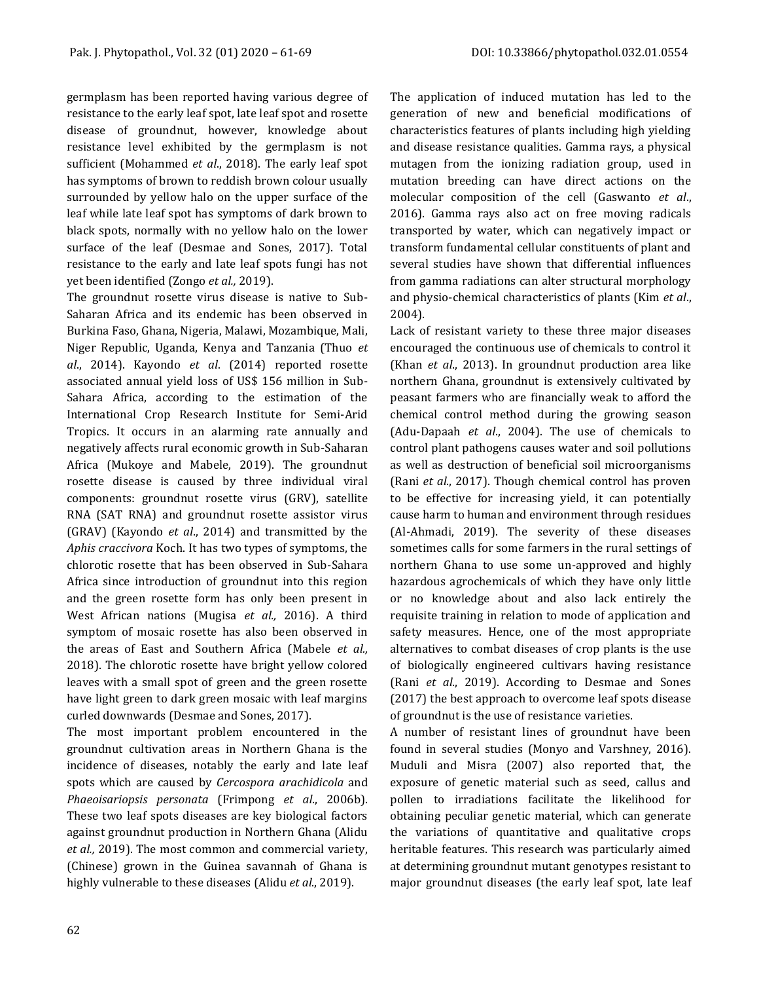germplasm has been reported having various degree of resistance to the early leaf spot, late leaf spot and rosette disease of groundnut, however, knowledge about resistance level exhibited by the germplasm is not sufficient (Mohammed *et al*., 2018). The early leaf spot has symptoms of brown to reddish brown colour usually surrounded by yellow halo on the upper surface of the leaf while late leaf spot has symptoms of dark brown to black spots, normally with no yellow halo on the lower surface of the leaf (Desmae and Sones, 2017). Total resistance to the early and late leaf spots fungi has not yet been identified (Zongo *et al.,* 2019).

The groundnut rosette virus disease is native to Sub-Saharan Africa and its endemic has been observed in Burkina Faso, Ghana, Nigeria, Malawi, Mozambique, Mali, Niger Republic, Uganda, Kenya and Tanzania (Thuo *et al*., 2014). Kayondo *et al*. (2014) reported rosette associated annual yield loss of US\$ 156 million in Sub-Sahara Africa, according to the estimation of the International Crop Research Institute for Semi-Arid Tropics. It occurs in an alarming rate annually and negatively affects rural economic growth in Sub-Saharan Africa (Mukoye and Mabele, 2019). The groundnut rosette disease is caused by three individual viral components: groundnut rosette virus (GRV), satellite RNA (SAT RNA) and groundnut rosette assistor virus (GRAV) (Kayondo *et al*., 2014) and transmitted by the *Aphis craccivora* Koch. It has two types of symptoms, the chlorotic rosette that has been observed in Sub-Sahara Africa since introduction of groundnut into this region and the green rosette form has only been present in West African nations (Mugisa *et al.,* 2016). A third symptom of mosaic rosette has also been observed in the areas of East and Southern Africa (Mabele *et al.,* 2018). The chlorotic rosette have bright yellow colored leaves with a small spot of green and the green rosette have light green to dark green mosaic with leaf margins curled downwards (Desmae and Sones, 2017).

The most important problem encountered in the groundnut cultivation areas in Northern Ghana is the incidence of diseases, notably the early and late leaf spots which are caused by *Cercospora arachidicola* and *Phaeoisariopsis personata* (Frimpong *et al*., 2006b). These two leaf spots diseases are key biological factors against groundnut production in Northern Ghana (Alidu *et al.,* 2019). The most common and commercial variety, (Chinese) grown in the Guinea savannah of Ghana is highly vulnerable to these diseases (Alidu *et al*., 2019).

The application of induced mutation has led to the generation of new and beneficial modifications of characteristics features of plants including high yielding and disease resistance qualities. Gamma rays, a physical mutagen from the ionizing radiation group, used in mutation breeding can have direct actions on the molecular composition of the cell (Gaswanto *et al*., 2016). Gamma rays also act on free moving radicals transported by water, which can negatively impact or transform fundamental cellular constituents of plant and several studies have shown that differential influences from gamma radiations can alter structural morphology and physio-chemical characteristics of plants (Kim *et al*., 2004).

Lack of resistant variety to these three major diseases encouraged the continuous use of chemicals to control it (Khan *et al*., 2013). In groundnut production area like northern Ghana, groundnut is extensively cultivated by peasant farmers who are financially weak to afford the chemical control method during the growing season (Adu-Dapaah *et al*., 2004). The use of chemicals to control plant pathogens causes water and soil pollutions as well as destruction of beneficial soil microorganisms (Rani *et al*., 2017). Though chemical control has proven to be effective for increasing yield, it can potentially cause harm to human and environment through residues (Al-Ahmadi, 2019). The severity of these diseases sometimes calls for some farmers in the rural settings of northern Ghana to use some un-approved and highly hazardous agrochemicals of which they have only little or no knowledge about and also lack entirely the requisite training in relation to mode of application and safety measures. Hence, one of the most appropriate alternatives to combat diseases of crop plants is the use of biologically engineered cultivars having resistance (Rani *et al*., 2019). According to Desmae and Sones (2017) the best approach to overcome leaf spots disease of groundnut is the use of resistance varieties.

A number of resistant lines of groundnut have been found in several studies (Monyo and Varshney, 2016). Muduli and Misra (2007) also reported that, the exposure of genetic material such as seed, callus and pollen to irradiations facilitate the likelihood for obtaining peculiar genetic material, which can generate the variations of quantitative and qualitative crops heritable features. This research was particularly aimed at determining groundnut mutant genotypes resistant to major groundnut diseases (the early leaf spot, late leaf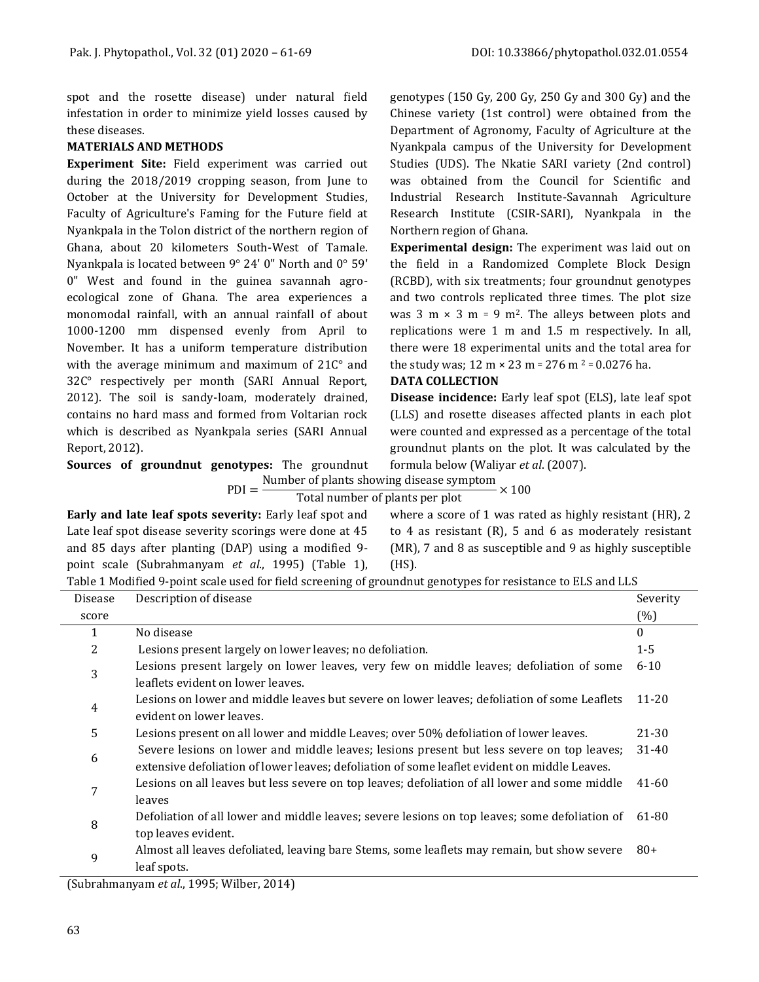spot and the rosette disease) under natural field infestation in order to minimize yield losses caused by these diseases.

## **MATERIALS AND METHODS**

**Experiment Site:** Field experiment was carried out during the 2018/2019 cropping season, from June to October at the University for Development Studies, Faculty of Agriculture's Faming for the Future field at Nyankpala in the Tolon district of the northern region of Ghana, about 20 kilometers South-West of Tamale. Nyankpala is located between 9° 24' 0" North and 0° 59' 0" West and found in the guinea savannah agroecological zone of Ghana. The area experiences a monomodal rainfall, with an annual rainfall of about 1000-1200 mm dispensed evenly from April to November. It has a uniform temperature distribution with the average minimum and maximum of 21C° and 32C° respectively per month (SARI Annual Report, 2012). The soil is sandy-loam, moderately drained, contains no hard mass and formed from Voltarian rock which is described as Nyankpala series (SARI Annual Report, 2012).

genotypes (150 Gy, 200 Gy, 250 Gy and 300 Gy) and the Chinese variety (1st control) were obtained from the Department of Agronomy, Faculty of Agriculture at the Nyankpala campus of the University for Development Studies (UDS). The Nkatie SARI variety (2nd control) was obtained from the Council for Scientific and Industrial Research Institute-Savannah Agriculture Research Institute (CSIR-SARI), Nyankpala in the Northern region of Ghana.

**Experimental design:** The experiment was laid out on the field in a Randomized Complete Block Design (RCBD), with six treatments; four groundnut genotypes and two controls replicated three times. The plot size was  $3 \text{ m} \times 3 \text{ m} = 9 \text{ m}^2$ . The alleys between plots and replications were 1 m and 1.5 m respectively. In all, there were 18 experimental units and the total area for the study was;  $12 \text{ m} \times 23 \text{ m} = 276 \text{ m}^2 = 0.0276 \text{ ha}$ .

### **DATA COLLECTION**

**Disease incidence:** Early leaf spot (ELS), late leaf spot (LLS) and rosette diseases affected plants in each plot were counted and expressed as a percentage of the total groundnut plants on the plot. It was calculated by the formula below (Waliyar *et al*. (2007).

**Sources of groundnut genotypes:** The groundnut  $PDI =$ 

Number of plants showing disease symptom<br> $\times 100$ 

Total number of plants per plot

**Early and late leaf spots severity:** Early leaf spot and Late leaf spot disease severity scorings were done at 45 and 85 days after planting (DAP) using a modified 9 point scale (Subrahmanyam *et al*., 1995) (Table 1), where a score of 1 was rated as highly resistant (HR), 2 to 4 as resistant (R), 5 and 6 as moderately resistant (MR), 7 and 8 as susceptible and 9 as highly susceptible (HS).

| Table 1 Modified 9-point scale used for field screening of groundnut genotypes for resistance to ELS and LLS |  |  |
|--------------------------------------------------------------------------------------------------------------|--|--|
|                                                                                                              |  |  |

| Disease | Description of disease                                                                        | Severity  |
|---------|-----------------------------------------------------------------------------------------------|-----------|
| score   |                                                                                               | $(\% )$   |
|         | No disease                                                                                    | $\theta$  |
| 2       | Lesions present largely on lower leaves; no defoliation.                                      | $1 - 5$   |
| 3       | Lesions present largely on lower leaves, very few on middle leaves; defoliation of some       | $6 - 10$  |
|         | leaflets evident on lower leaves.                                                             |           |
| 4       | Lesions on lower and middle leaves but severe on lower leaves; defoliation of some Leaflets   | 11-20     |
|         | evident on lower leaves.                                                                      |           |
| 5       | Lesions present on all lower and middle Leaves; over 50% defoliation of lower leaves.         | $21 - 30$ |
| 6       | Severe lesions on lower and middle leaves; lesions present but less severe on top leaves;     | $31 - 40$ |
|         | extensive defoliation of lower leaves; defoliation of some leaflet evident on middle Leaves.  |           |
| 7       | Lesions on all leaves but less severe on top leaves; defoliation of all lower and some middle | 41-60     |
|         | leaves                                                                                        |           |
| 8       | Defoliation of all lower and middle leaves; severe lesions on top leaves; some defoliation of | 61-80     |
|         | top leaves evident.                                                                           |           |
| 9       | Almost all leaves defoliated, leaving bare Stems, some leaflets may remain, but show severe   | $80+$     |
|         | leaf spots.                                                                                   |           |

(Subrahmanyam *et al*., 1995; Wilber, 2014)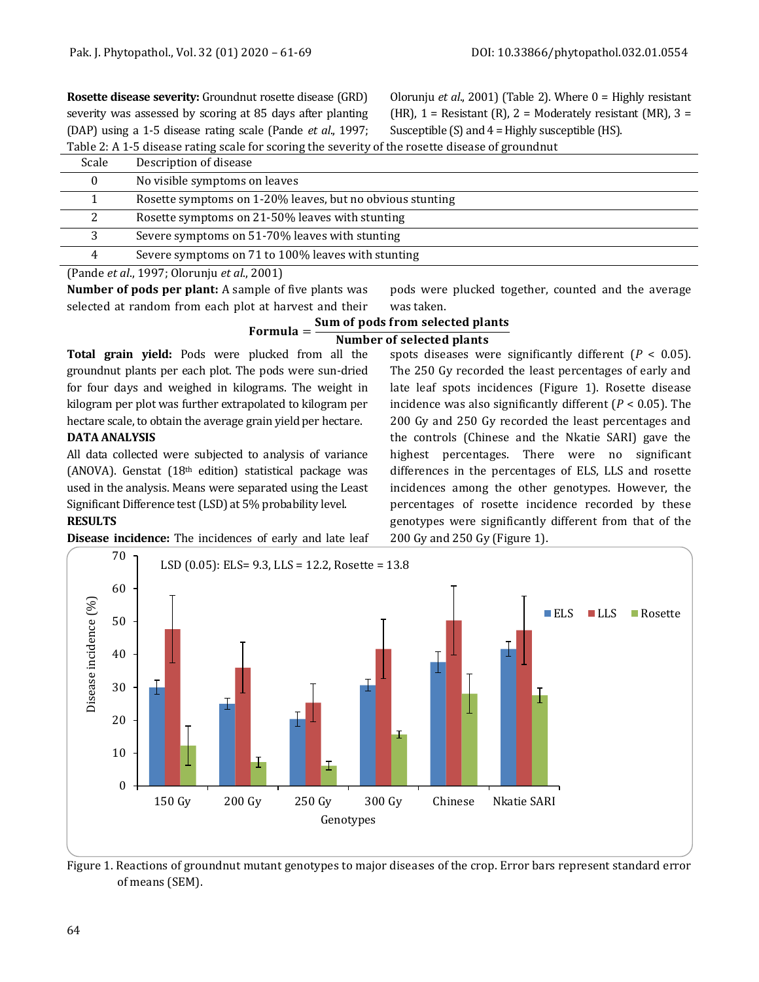**Rosette disease severity:** Groundnut rosette disease (GRD) severity was assessed by scoring at 85 days after planting (DAP) using a 1-5 disease rating scale (Pande *et al*., 1997; Olorunju *et al*., 2001) (Table 2). Where 0 = Highly resistant (HR),  $1 =$  Resistant (R),  $2 =$  Moderately resistant (MR),  $3 =$ Susceptible  $(S)$  and  $4 =$  Highly susceptible  $(HS)$ .

Table 2: A 1-5 disease rating scale for scoring the severity of the rosette disease of groundnut

| Scale | Description of disease                                    |
|-------|-----------------------------------------------------------|
|       | No visible symptoms on leaves                             |
|       | Rosette symptoms on 1-20% leaves, but no obvious stunting |
|       | Rosette symptoms on 21-50% leaves with stunting           |
|       | Severe symptoms on 51-70% leaves with stunting            |
| 4     | Severe symptoms on 71 to 100% leaves with stunting        |
|       |                                                           |

(Pande *et al*., 1997; Olorunju *et al*., 2001)

**Number of pods per plant:** A sample of five plants was selected at random from each plot at harvest and their pods were plucked together, counted and the average was taken.

### Sum of pods from selected plants

#### Formula = **Number of selected plants**

**Total grain yield:** Pods were plucked from all the groundnut plants per each plot. The pods were sun-dried for four days and weighed in kilograms. The weight in kilogram per plot was further extrapolated to kilogram per hectare scale, to obtain the average grain yield per hectare.

## **DATA ANALYSIS**

All data collected were subjected to analysis of variance (ANOVA). Genstat  $(18<sup>th</sup>$  edition) statistical package was used in the analysis. Means were separated using the Least Significant Difference test (LSD) at 5% probability level.

spots diseases were significantly different (*P* < 0.05). The 250 Gy recorded the least percentages of early and late leaf spots incidences (Figure 1). Rosette disease incidence was also significantly different (*P* < 0.05). The 200 Gy and 250 Gy recorded the least percentages and the controls (Chinese and the Nkatie SARI) gave the highest percentages. There were no significant differences in the percentages of ELS, LLS and rosette incidences among the other genotypes. However, the percentages of rosette incidence recorded by these genotypes were significantly different from that of the 200 Gy and 250 Gy (Figure 1).

## **RESULTS**

**Disease incidence:** The incidences of early and late leaf



Figure 1. Reactions of groundnut mutant genotypes to major diseases of the crop. Error bars represent standard error of means (SEM).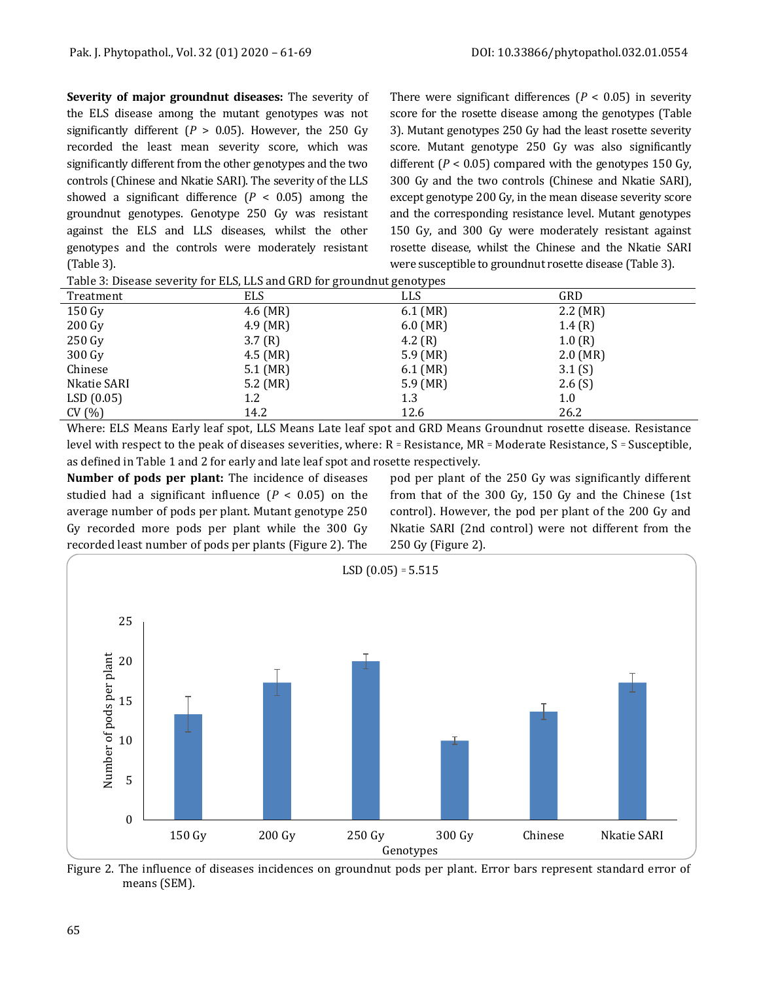**Severity of major groundnut diseases:** The severity of the ELS disease among the mutant genotypes was not significantly different ( $P > 0.05$ ). However, the 250 Gy recorded the least mean severity score, which was significantly different from the other genotypes and the two controls (Chinese and Nkatie SARI). The severity of the LLS showed a significant difference  $(P < 0.05)$  among the groundnut genotypes. Genotype 250 Gy was resistant against the ELS and LLS diseases, whilst the other genotypes and the controls were moderately resistant (Table 3).

There were significant differences  $(P < 0.05)$  in severity score for the rosette disease among the genotypes (Table 3). Mutant genotypes 250 Gy had the least rosette severity score. Mutant genotype 250 Gy was also significantly different  $(P < 0.05)$  compared with the genotypes 150 Gy, 300 Gy and the two controls (Chinese and Nkatie SARI), except genotype 200 Gy, in the mean disease severity score and the corresponding resistance level. Mutant genotypes 150 Gy, and 300 Gy were moderately resistant against rosette disease, whilst the Chinese and the Nkatie SARI were susceptible to groundnut rosette disease (Table 3).

|  | Table 3: Disease severity for ELS, LLS and GRD for groundnut genotypes |
|--|------------------------------------------------------------------------|
|  |                                                                        |

| Treatment   | <b>ELS</b> | LLS        | GRD           |  |
|-------------|------------|------------|---------------|--|
| 150 Gy      | $4.6$ (MR) | $6.1$ (MR) | $2.2 \, (MR)$ |  |
| 200 Gy      | $4.9$ (MR) | $6.0$ (MR) | 1.4(R)        |  |
| 250 Gy      | 3.7(R)     | 4.2 $(R)$  | 1.0(R)        |  |
| 300 Gy      | $4.5$ (MR) | $5.9$ (MR) | $2.0$ (MR)    |  |
| Chinese     | $5.1$ (MR) | $6.1$ (MR) | 3.1(S)        |  |
| Nkatie SARI | $5.2$ (MR) | $5.9$ (MR) | 2.6(S)        |  |
| LSD(0.05)   | 1.2        | 1.3        | 1.0           |  |
| CV(%)       | 14.2       | 12.6       | 26.2          |  |

Where: ELS Means Early leaf spot, LLS Means Late leaf spot and GRD Means Groundnut rosette disease. Resistance level with respect to the peak of diseases severities, where:  $R =$  Resistance, MR = Moderate Resistance,  $S =$  Susceptible, as defined in Table 1 and 2 for early and late leaf spot and rosette respectively.

**Number of pods per plant:** The incidence of diseases studied had a significant influence  $(P < 0.05)$  on the average number of pods per plant. Mutant genotype 250 Gy recorded more pods per plant while the 300 Gy recorded least number of pods per plants (Figure 2). The pod per plant of the 250 Gy was significantly different from that of the 300 Gy, 150 Gy and the Chinese (1st control). However, the pod per plant of the 200 Gy and Nkatie SARI (2nd control) were not different from the 250 Gy (Figure 2).



Figure 2. The influence of diseases incidences on groundnut pods per plant. Error bars represent standard error of means (SEM).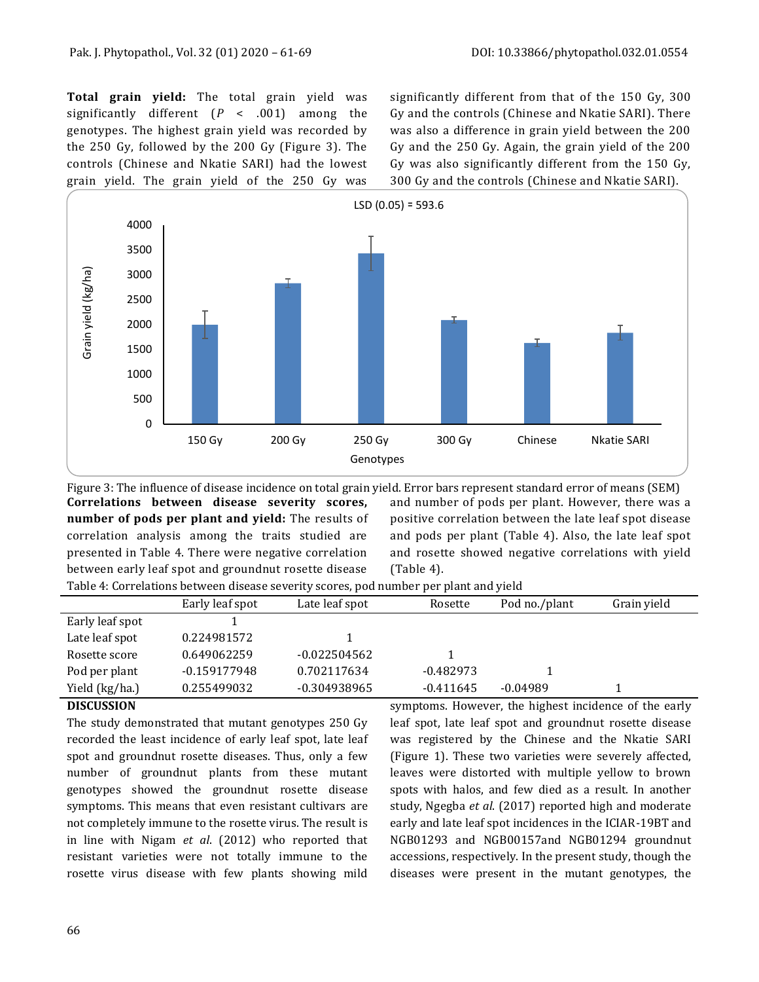**Total grain yield:** The total grain yield was significantly different (*P* < .001) among the genotypes. The highest grain yield was recorded by the 250 Gy, followed by the 200 Gy (Figure 3). The controls (Chinese and Nkatie SARI) had the lowest grain yield. The grain yield of the 250 Gy was significantly different from that of the 150 Gy, 300 Gy and the controls (Chinese and Nkatie SARI). There was also a difference in grain yield between the 200 Gy and the 250 Gy. Again, the grain yield of the 200 Gy was also significantly different from the 150 Gy, 300 Gy and the controls (Chinese and Nkatie SARI).



Figure 3: The influence of disease incidence on total grain yield. Error bars represent standard error of means (SEM) **Correlations between disease severity scores, number of pods per plant and yield:** The results of correlation analysis among the traits studied are presented in Table 4. There were negative correlation between early leaf spot and groundnut rosette disease and number of pods per plant. However, there was a positive correlation between the late leaf spot disease and pods per plant (Table 4). Also, the late leaf spot and rosette showed negative correlations with yield (Table 4). Table 4: Correlations between disease severity scores, pod number per plant and yield

| Table 11 Golf chanolic beth cent alocade severity secrecy pour humber per plant and yield |                 |                |             |               |             |  |
|-------------------------------------------------------------------------------------------|-----------------|----------------|-------------|---------------|-------------|--|
|                                                                                           | Early leaf spot | Late leaf spot | Rosette     | Pod no./plant | Grain yield |  |
| Early leaf spot                                                                           |                 |                |             |               |             |  |
| Late leaf spot                                                                            | 0.224981572     |                |             |               |             |  |
| Rosette score                                                                             | 0.649062259     | $-0.022504562$ |             |               |             |  |
| Pod per plant                                                                             | $-0.159177948$  | 0.702117634    | $-0.482973$ |               |             |  |
| Yield (kg/ha.)                                                                            | 0.255499032     | -0.304938965   | $-0.411645$ | $-0.04989$    |             |  |

## **DISCUSSION**

The study demonstrated that mutant genotypes 250 Gy recorded the least incidence of early leaf spot, late leaf spot and groundnut rosette diseases. Thus, only a few number of groundnut plants from these mutant genotypes showed the groundnut rosette disease symptoms. This means that even resistant cultivars are not completely immune to the rosette virus. The result is in line with Nigam *et al*. (2012) who reported that resistant varieties were not totally immune to the rosette virus disease with few plants showing mild

symptoms. However, the highest incidence of the early leaf spot, late leaf spot and groundnut rosette disease was registered by the Chinese and the Nkatie SARI (Figure 1). These two varieties were severely affected, leaves were distorted with multiple yellow to brown spots with halos, and few died as a result. In another study, Ngegba *et al*. (2017) reported high and moderate early and late leaf spot incidences in the ICIAR-19BT and NGB01293 and NGB00157and NGB01294 groundnut accessions, respectively. In the present study, though the diseases were present in the mutant genotypes, the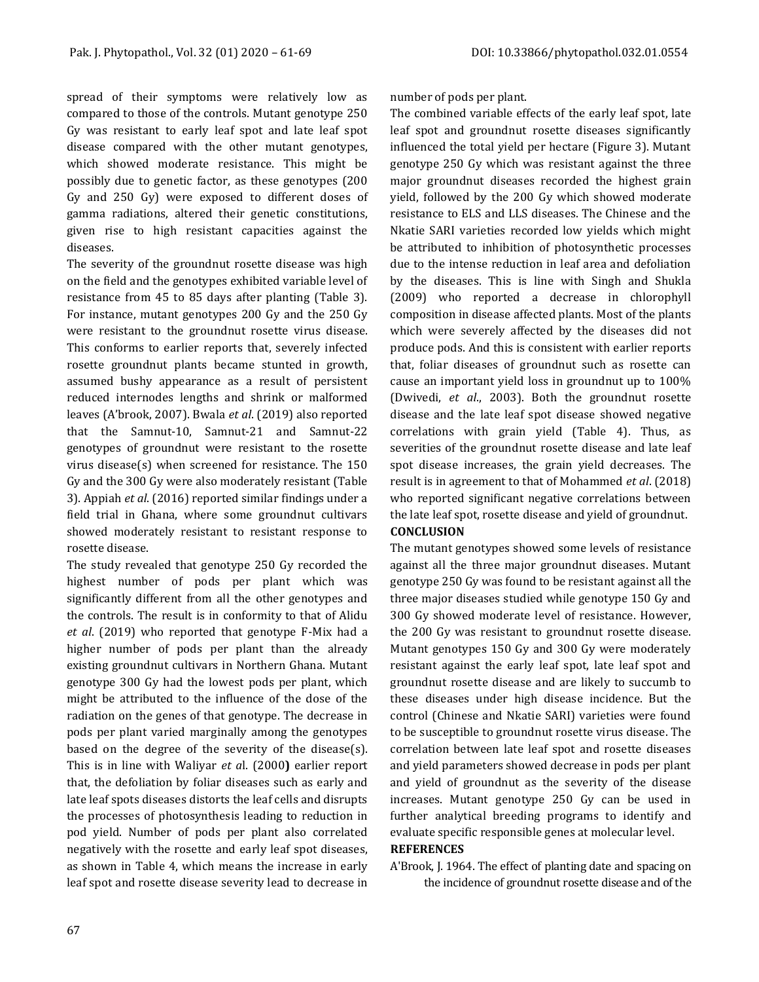spread of their symptoms were relatively low as compared to those of the controls. Mutant genotype 250 Gy was resistant to early leaf spot and late leaf spot disease compared with the other mutant genotypes, which showed moderate resistance. This might be possibly due to genetic factor, as these genotypes (200 Gy and 250 Gy) were exposed to different doses of gamma radiations, altered their genetic constitutions, given rise to high resistant capacities against the diseases.

The severity of the groundnut rosette disease was high on the field and the genotypes exhibited variable level of resistance from 45 to 85 days after planting (Table 3). For instance, mutant genotypes 200 Gy and the 250 Gy were resistant to the groundnut rosette virus disease. This conforms to earlier reports that, severely infected rosette groundnut plants became stunted in growth, assumed bushy appearance as a result of persistent reduced internodes lengths and shrink or malformed leaves (A'brook, 2007). Bwala *et al*. (2019) also reported that the Samnut-10, Samnut-21 and Samnut-22 genotypes of groundnut were resistant to the rosette virus disease(s) when screened for resistance. The 150 Gy and the 300 Gy were also moderately resistant (Table 3). Appiah *et al*. (2016) reported similar findings under a field trial in Ghana, where some groundnut cultivars showed moderately resistant to resistant response to rosette disease.

The study revealed that genotype 250 Gy recorded the highest number of pods per plant which was significantly different from all the other genotypes and the controls. The result is in conformity to that of Alidu *et al*. (2019) who reported that genotype F-Mix had a higher number of pods per plant than the already existing groundnut cultivars in Northern Ghana. Mutant genotype 300 Gy had the lowest pods per plant, which might be attributed to the influence of the dose of the radiation on the genes of that genotype. The decrease in pods per plant varied marginally among the genotypes based on the degree of the severity of the disease(s). This is in line with Waliyar *et a*l. (2000**)** earlier report that, the defoliation by foliar diseases such as early and late leaf spots diseases distorts the leaf cells and disrupts the processes of photosynthesis leading to reduction in pod yield. Number of pods per plant also correlated negatively with the rosette and early leaf spot diseases, as shown in Table 4, which means the increase in early leaf spot and rosette disease severity lead to decrease in number of pods per plant.

The combined variable effects of the early leaf spot, late leaf spot and groundnut rosette diseases significantly influenced the total yield per hectare (Figure 3). Mutant genotype 250 Gy which was resistant against the three major groundnut diseases recorded the highest grain yield, followed by the 200 Gy which showed moderate resistance to ELS and LLS diseases. The Chinese and the Nkatie SARI varieties recorded low yields which might be attributed to inhibition of photosynthetic processes due to the intense reduction in leaf area and defoliation by the diseases. This is line with Singh and Shukla (2009) who reported a decrease in chlorophyll composition in disease affected plants. Most of the plants which were severely affected by the diseases did not produce pods. And this is consistent with earlier reports that, foliar diseases of groundnut such as rosette can cause an important yield loss in groundnut up to 100% (Dwivedi, *et al*., 2003). Both the groundnut rosette disease and the late leaf spot disease showed negative correlations with grain yield (Table 4). Thus, as severities of the groundnut rosette disease and late leaf spot disease increases, the grain yield decreases. The result is in agreement to that of Mohammed *et al*. (2018) who reported significant negative correlations between the late leaf spot, rosette disease and yield of groundnut. **CONCLUSION**

## The mutant genotypes showed some levels of resistance against all the three major groundnut diseases. Mutant genotype 250 Gy was found to be resistant against all the three major diseases studied while genotype 150 Gy and 300 Gy showed moderate level of resistance. However, the 200 Gy was resistant to groundnut rosette disease. Mutant genotypes 150 Gy and 300 Gy were moderately resistant against the early leaf spot, late leaf spot and groundnut rosette disease and are likely to succumb to these diseases under high disease incidence. But the control (Chinese and Nkatie SARI) varieties were found to be susceptible to groundnut rosette virus disease. The correlation between late leaf spot and rosette diseases and yield parameters showed decrease in pods per plant and yield of groundnut as the severity of the disease increases. Mutant genotype 250 Gy can be used in further analytical breeding programs to identify and evaluate specific responsible genes at molecular level.

## **REFERENCES**

A'Brook, J. 1964. The effect of planting date and spacing on the incidence of groundnut rosette disease and of the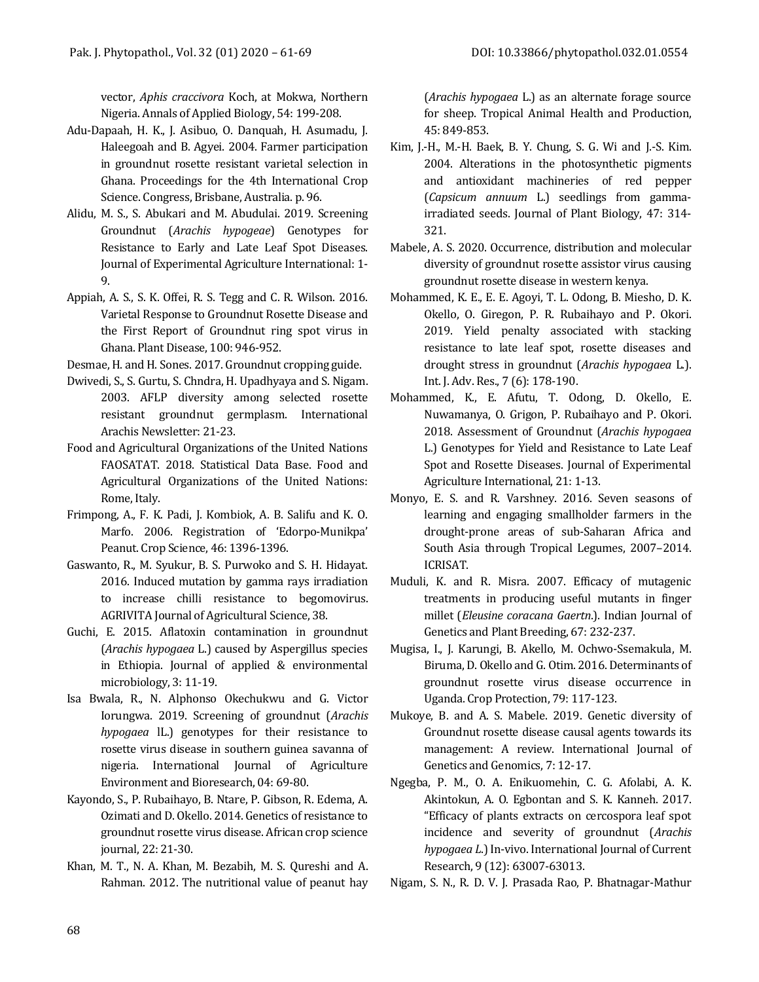vector, *Aphis craccivora* Koch, at Mokwa, Northern Nigeria. Annals of Applied Biology, 54: 199-208.

- Adu-Dapaah, H. K., J. Asibuo, O. Danquah, H. Asumadu, J. Haleegoah and B. Agyei. 2004. Farmer participation in groundnut rosette resistant varietal selection in Ghana. Proceedings for the 4th International Crop Science. Congress, Brisbane, Australia. p. 96.
- Alidu, M. S., S. Abukari and M. Abudulai. 2019. Screening Groundnut (*Arachis hypogeae*) Genotypes for Resistance to Early and Late Leaf Spot Diseases. Journal of Experimental Agriculture International: 1- 9.
- Appiah, A. S., S. K. Offei, R. S. Tegg and C. R. Wilson. 2016. Varietal Response to Groundnut Rosette Disease and the First Report of Groundnut ring spot virus in Ghana. Plant Disease, 100: 946-952.
- Desmae, H. and H. Sones. 2017. Groundnut cropping guide.
- Dwivedi, S., S. Gurtu, S. Chndra, H. Upadhyaya and S. Nigam. 2003. AFLP diversity among selected rosette resistant groundnut germplasm. International Arachis Newsletter: 21-23.
- Food and Agricultural Organizations of the United Nations FAOSATAT. 2018. Statistical Data Base. Food and Agricultural Organizations of the United Nations: Rome, Italy.
- Frimpong, A., F. K. Padi, J. Kombiok, A. B. Salifu and K. O. Marfo. 2006. Registration of 'Edorpo-Munikpa' Peanut. Crop Science, 46: 1396-1396.
- Gaswanto, R., M. Syukur, B. S. Purwoko and S. H. Hidayat. 2016. Induced mutation by gamma rays irradiation to increase chilli resistance to begomovirus. AGRIVITA Journal of Agricultural Science, 38.
- Guchi, E. 2015. Aflatoxin contamination in groundnut (*Arachis hypogaea* L.) caused by Aspergillus species in Ethiopia. Journal of applied & environmental microbiology, 3: 11-19.
- Isa Bwala, R., N. Alphonso Okechukwu and G. Victor Iorungwa. 2019. Screening of groundnut (*Arachis hypogaea* lL.) genotypes for their resistance to rosette virus disease in southern guinea savanna of nigeria. International Journal of Agriculture Environment and Bioresearch, 04: 69-80.
- Kayondo, S., P. Rubaihayo, B. Ntare, P. Gibson, R. Edema, A. Ozimati and D. Okello. 2014. Genetics of resistance to groundnut rosette virus disease. African crop science journal, 22: 21-30.
- Khan, M. T., N. A. Khan, M. Bezabih, M. S. Qureshi and A. Rahman. 2012. The nutritional value of peanut hay

(*Arachis hypogaea* L.) as an alternate forage source for sheep. Tropical Animal Health and Production, 45: 849-853.

- Kim, J.-H., M.-H. Baek, B. Y. Chung, S. G. Wi and J.-S. Kim. 2004. Alterations in the photosynthetic pigments and antioxidant machineries of red pepper (*Capsicum annuum* L.) seedlings from gammairradiated seeds. Journal of Plant Biology, 47: 314- 321.
- Mabele, A. S. 2020. Occurrence, distribution and molecular diversity of groundnut rosette assistor virus causing groundnut rosette disease in western kenya.
- Mohammed, K. E., E. E. Agoyi, T. L. Odong, B. Miesho, D. K. Okello, O. Giregon, P. R. Rubaihayo and P. Okori. 2019. Yield penalty associated with stacking resistance to late leaf spot, rosette diseases and drought stress in groundnut (*Arachis hypogaea* L.). Int. J. Adv. Res., 7 (6): 178-190.
- Mohammed, K., E. Afutu, T. Odong, D. Okello, E. Nuwamanya, O. Grigon, P. Rubaihayo and P. Okori. 2018. Assessment of Groundnut (*Arachis hypogaea* L.) Genotypes for Yield and Resistance to Late Leaf Spot and Rosette Diseases. Journal of Experimental Agriculture International, 21: 1-13.
- Monyo, E. S. and R. Varshney. 2016. Seven seasons of learning and engaging smallholder farmers in the drought-prone areas of sub-Saharan Africa and South Asia through Tropical Legumes, 2007–2014. ICRISAT.
- Muduli, K. and R. Misra. 2007. Efficacy of mutagenic treatments in producing useful mutants in finger millet (*Eleusine coracana Gaertn*.). Indian Journal of Genetics and Plant Breeding, 67: 232-237.
- Mugisa, I., J. Karungi, B. Akello, M. Ochwo-Ssemakula, M. Biruma, D. Okello and G. Otim. 2016. Determinants of groundnut rosette virus disease occurrence in Uganda. Crop Protection, 79: 117-123.
- Mukoye, B. and A. S. Mabele. 2019. Genetic diversity of Groundnut rosette disease causal agents towards its management: A review. International Journal of Genetics and Genomics, 7: 12-17.
- Ngegba, P. M., O. A. Enikuomehin, C. G. Afolabi, A. K. Akintokun, A. O. Egbontan and S. K. Kanneh. 2017. "Efficacy of plants extracts on cercospora leaf spot incidence and severity of groundnut (*Arachis hypogaea L*.) In-vivo. International Journal of Current Research, 9 (12): 63007-63013.

Nigam, S. N., R. D. V. J. Prasada Rao, P. Bhatnagar-Mathur